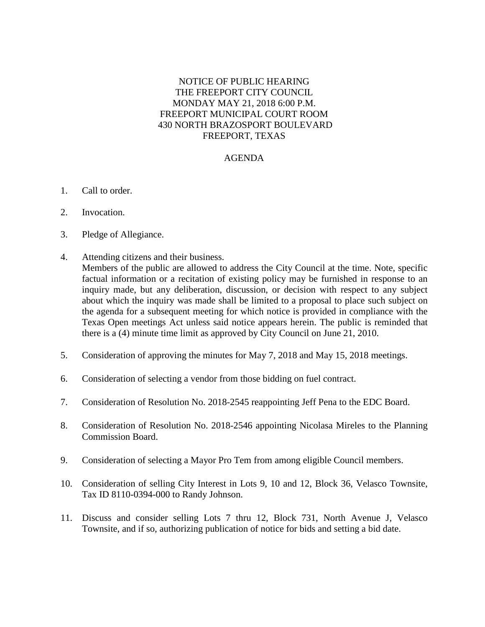## NOTICE OF PUBLIC HEARING THE FREEPORT CITY COUNCIL MONDAY MAY 21, 2018 6:00 P.M. FREEPORT MUNICIPAL COURT ROOM 430 NORTH BRAZOSPORT BOULEVARD FREEPORT, TEXAS

## AGENDA

- 1. Call to order.
- 2. Invocation.
- 3. Pledge of Allegiance.
- 4. Attending citizens and their business. Members of the public are allowed to address the City Council at the time. Note, specific factual information or a recitation of existing policy may be furnished in response to an inquiry made, but any deliberation, discussion, or decision with respect to any subject about which the inquiry was made shall be limited to a proposal to place such subject on the agenda for a subsequent meeting for which notice is provided in compliance with the Texas Open meetings Act unless said notice appears herein. The public is reminded that there is a (4) minute time limit as approved by City Council on June 21, 2010.
- 5. Consideration of approving the minutes for May 7, 2018 and May 15, 2018 meetings.
- 6. Consideration of selecting a vendor from those bidding on fuel contract.
- 7. Consideration of Resolution No. 2018-2545 reappointing Jeff Pena to the EDC Board.
- 8. Consideration of Resolution No. 2018-2546 appointing Nicolasa Mireles to the Planning Commission Board.
- 9. Consideration of selecting a Mayor Pro Tem from among eligible Council members.
- 10. Consideration of selling City Interest in Lots 9, 10 and 12, Block 36, Velasco Townsite, Tax ID 8110-0394-000 to Randy Johnson.
- 11. Discuss and consider selling Lots 7 thru 12, Block 731, North Avenue J, Velasco Townsite, and if so, authorizing publication of notice for bids and setting a bid date.